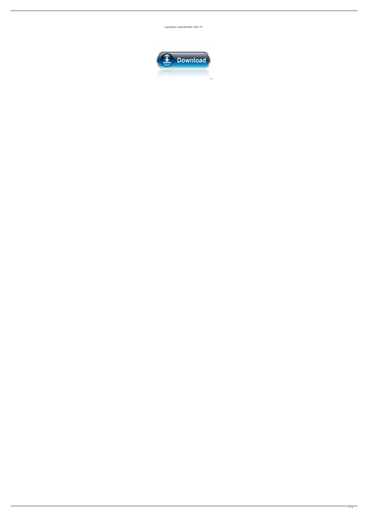Legsonshow Linda Bareham Video 39

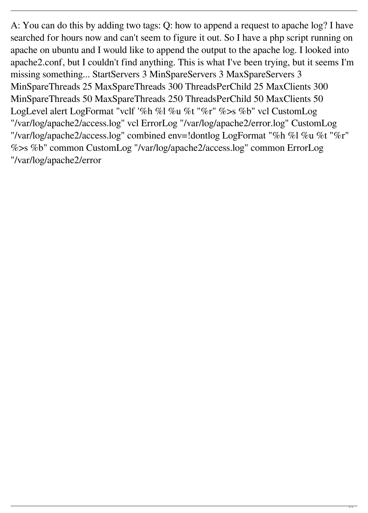A: You can do this by adding two tags: Q: how to append a request to apache log? I have searched for hours now and can't seem to figure it out. So I have a php script running on apache on ubuntu and I would like to append the output to the apache log. I looked into apache2.conf, but I couldn't find anything. This is what I've been trying, but it seems I'm missing something... StartServers 3 MinSpareServers 3 MaxSpareServers 3 MinSpareThreads 25 MaxSpareThreads 300 ThreadsPerChild 25 MaxClients 300 MinSpareThreads 50 MaxSpareThreads 250 ThreadsPerChild 50 MaxClients 50 LogLevel alert LogFormat "vclf '%h %l %u %t "%r" %>s %b" vcl CustomLog "/var/log/apache2/access.log" vcl ErrorLog "/var/log/apache2/error.log" CustomLog "/var/log/apache2/access.log" combined env=!dontlog LogFormat "%h %l %u %t "%r" %>s %b" common CustomLog "/var/log/apache2/access.log" common ErrorLog "/var/log/apache2/error